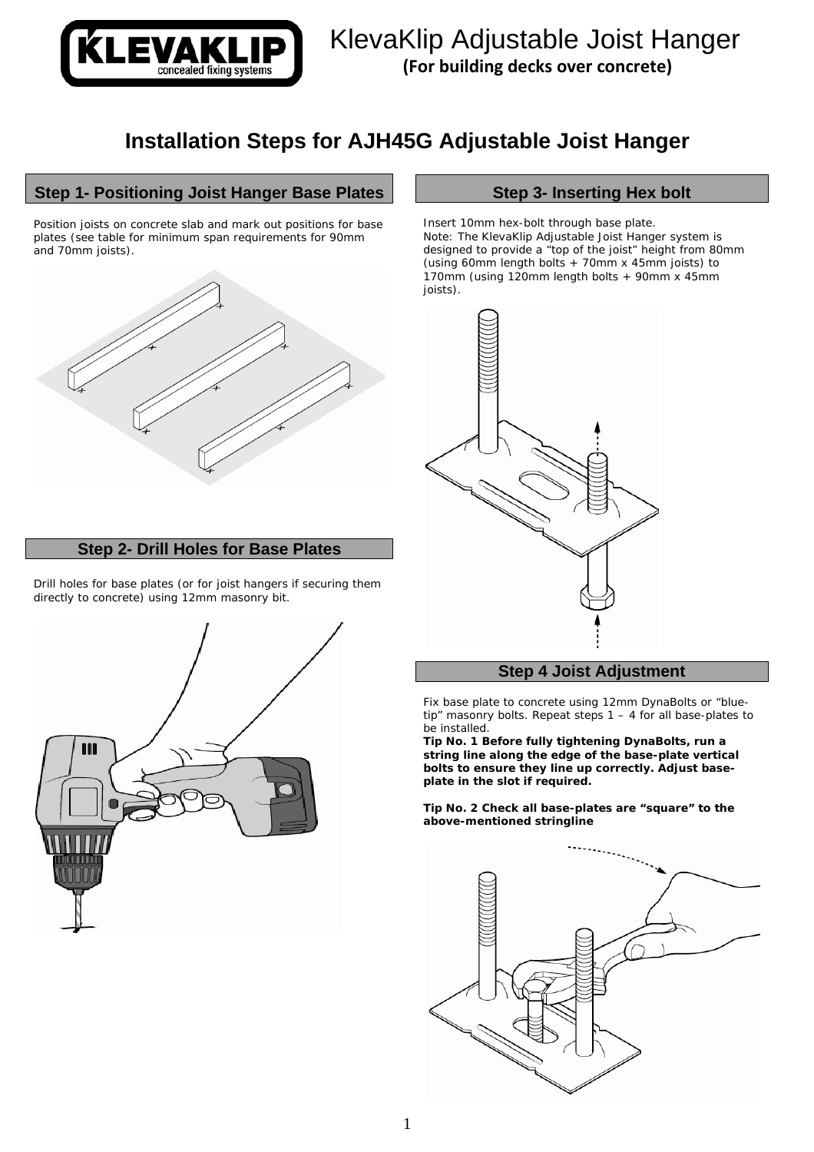

# **Installation Steps for AJH45G Adjustable Joist Hanger**

## **Step 1- Positioning Joist Hanger Base Plates**

plates (see table fo<br>and 70mm joists). Position joists on concrete slab and mark out positions for base plates (see table for minimum span requirements for 90mm



## **Step 2- Drill Holes for Base Plates**

 $\overline{a}$ 

Drill holes for base plates (or for joist hangers if securing them directly to concrete) using 12mm masonry bit.



## **Step 3- Inserting Hex bolt**

Insert 10mm hex-bolt through base plate. Note: The KlevaKlip Adjustable Joist Hanger system is designed to provide a "top of the joist" height from 80mm (using 60mm length bolts + 70mm x 45mm joists) to 170mm (using 120mm length bolts + 90mm x 45mm joists).



#### **Step 4 Joist Adjustment**

Fix base plate to concrete using 12mm DynaBolts or "bluetip" masonry bolts. Repeat steps 1 – 4 for all base-plates to be installed.

**Tip No. 1 Before fully tightening DynaBolts, run a string line along the edge of the base-plate vertical bolts to ensure they line up correctly. Adjust baseplate in the slot if required.** 

**Tip No. 2 Check all base-plates are "square" to the above-mentioned stringline**